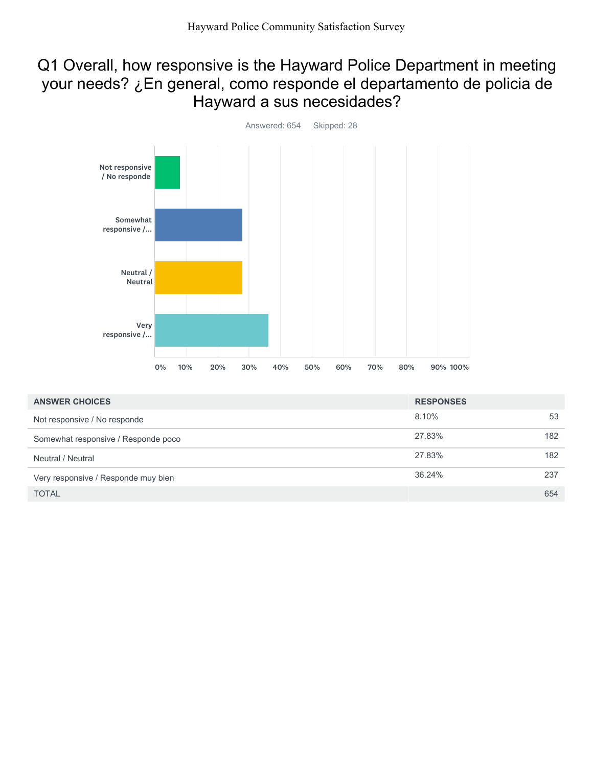## Q1 Overall, how responsive is the Hayward Police Department in meeting your needs? ¿En general, como responde el departamento de policia de Hayward a sus necesidades?



| <b>ANSWER CHOICES</b>               | <b>RESPONSES</b> |     |
|-------------------------------------|------------------|-----|
| Not responsive / No responde        | 8.10%            | 53  |
| Somewhat responsive / Responde poco | 27.83%           | 182 |
| Neutral / Neutral                   | 27.83%           | 182 |
| Very responsive / Responde muy bien | 36.24%           | 237 |
| <b>TOTAL</b>                        |                  | 654 |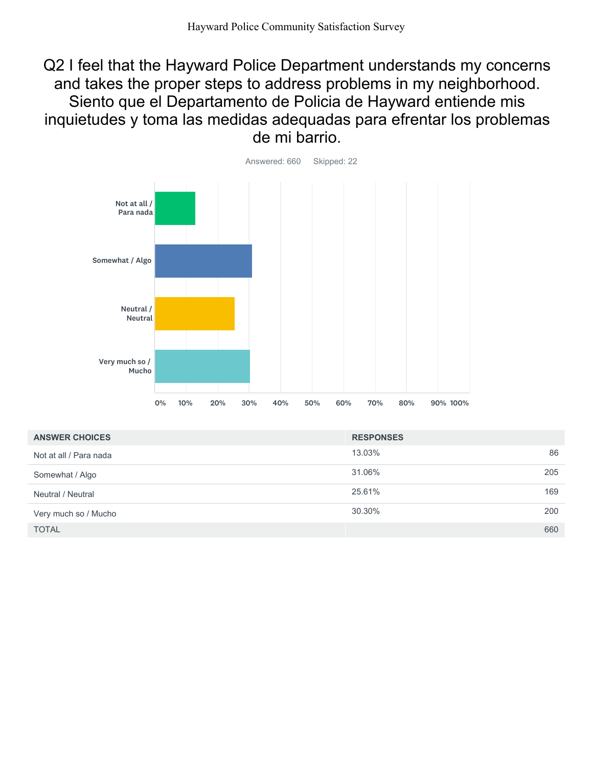Q2 I feel that the Hayward Police Department understands my concerns and takes the proper steps to address problems in my neighborhood. Siento que el Departamento de Policia de Hayward entiende mis inquietudes y toma las medidas adequadas para efrentar los problemas de mi barrio.



| <b>ANSWER CHOICES</b>  | <b>RESPONSES</b> |     |
|------------------------|------------------|-----|
| Not at all / Para nada | 13.03%           | 86  |
| Somewhat / Algo        | 31.06%           | 205 |
| Neutral / Neutral      | 25.61%           | 169 |
| Very much so / Mucho   | 30.30%           | 200 |
| <b>TOTAL</b>           |                  | 660 |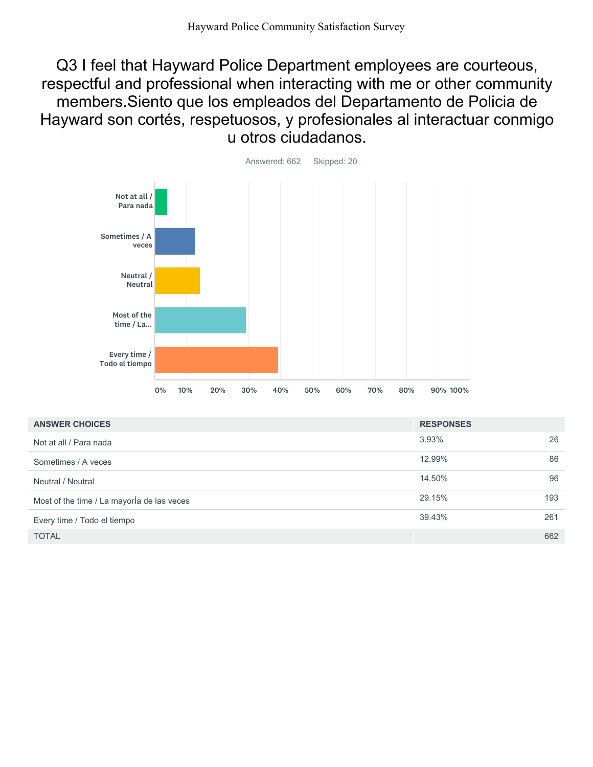Q3 I feel that Hayward Police Department employees are courteous, respectful and professional when interacting with me or other community members.Siento que los empleados del Departamento de Policia de Hayward son cortés, respetuosos, y profesionales al interactuar conmigo u otros ciudadanos.



| <b>ANSWER CHOICES</b>                      | <b>RESPONSES</b> |     |
|--------------------------------------------|------------------|-----|
| Not at all / Para nada                     | 3.93%            | 26  |
| Sometimes / A veces                        | 12.99%           | 86  |
| Neutral / Neutral                          | 14.50%           | 96  |
| Most of the time / La mayorla de las veces | 29.15%           | 193 |
| Every time / Todo el tiempo                | 39.43%           | 261 |
| <b>TOTAL</b>                               |                  | 662 |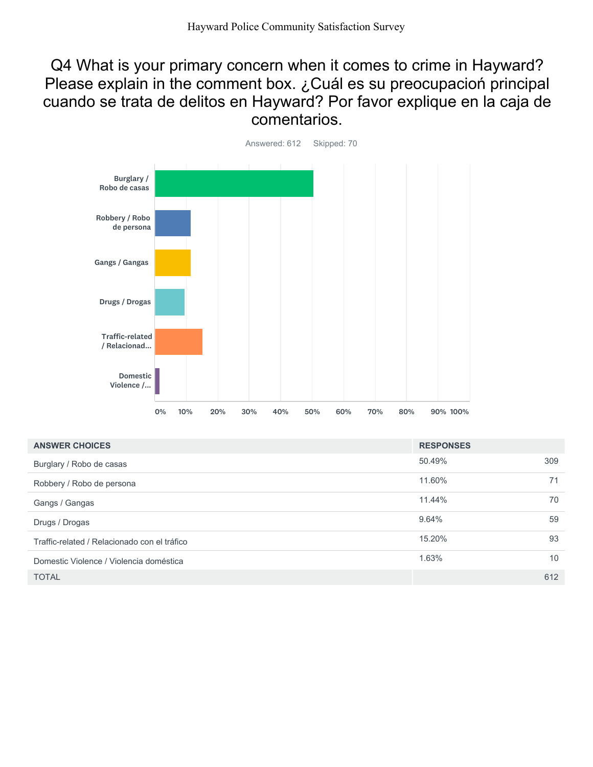## Q4 What is your primary concern when it comes to crime in Hayward? Please explain in the comment box. ¿Cuál es su preocupacioń principal cuando se trata de delitos en Hayward? Por favor explique en la caja de comentarios.



| <b>ANSWER CHOICES</b>                        | <b>RESPONSES</b> |     |
|----------------------------------------------|------------------|-----|
| Burglary / Robo de casas                     | 50.49%           | 309 |
| Robbery / Robo de persona                    | 11.60%           | 71  |
| Gangs / Gangas                               | 11.44%           | 70  |
| Drugs / Drogas                               | 9.64%            | 59  |
| Traffic-related / Relacionado con el tráfico | 15.20%           | 93  |
| Domestic Violence / Violencia doméstica      | 1.63%            | 10  |
| <b>TOTAL</b>                                 |                  | 612 |